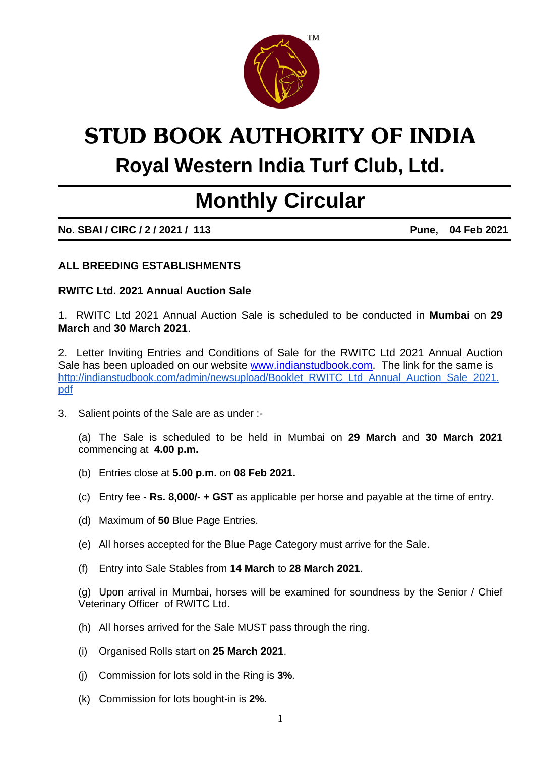

# **STUD BOOK AUTHORITY OF INDIA Royal Western India Turf Club, Ltd.**

## **Monthly Circular**

**No. SBAI / CIRC / 2 / 2021 / 113 Pune, 04 Feb 2021** 

#### **ALL BREEDING ESTABLISHMENTS**

#### **RWITC Ltd. 2021 Annual Auction Sale**

1. RWITC Ltd 2021 Annual Auction Sale is scheduled to be conducted in **Mumbai** on **29 March** and **30 March 2021**.

2. Letter Inviting Entries and Conditions of Sale for the RWITC Ltd 2021 Annual Auction Sale has been uploaded on our website [www.indianstudbook.com.](http://www.indianstudbook.com/) The link for the same is [http://indianstudbook.com/admin/newsupload/Booklet\\_RWITC\\_Ltd\\_Annual\\_Auction\\_Sale\\_2021.](http://indianstudbook.com/admin/newsupload/Booklet_-_RWITC_Ltd_Annual_Auction_Sale_2021.pdf) [pdf](http://indianstudbook.com/admin/newsupload/Booklet_-_RWITC_Ltd_Annual_Auction_Sale_2021.pdf)

3. Salient points of the Sale are as under :-

 (a) The Sale is scheduled to be held in Mumbai on **29 March** and **30 March 2021**  commencing at **4.00 p.m.**

- (b) Entries close at **5.00 p.m.** on **08 Feb 2021.**
- (c) Entry fee **Rs. 8,000/- + GST** as applicable per horse and payable at the time of entry.
- (d) Maximum of **50** Blue Page Entries.
- (e) All horses accepted for the Blue Page Category must arrive for the Sale.
- (f) Entry into Sale Stables from **14 March** to **28 March 2021**.

 (g) Upon arrival in Mumbai, horses will be examined for soundness by the Senior / Chief Veterinary Officer of RWITC Ltd.

- (h) All horses arrived for the Sale MUST pass through the ring.
- (i) Organised Rolls start on **25 March 2021**.
- (j) Commission for lots sold in the Ring is **3%**.
- (k) Commission for lots bought-in is **2%**.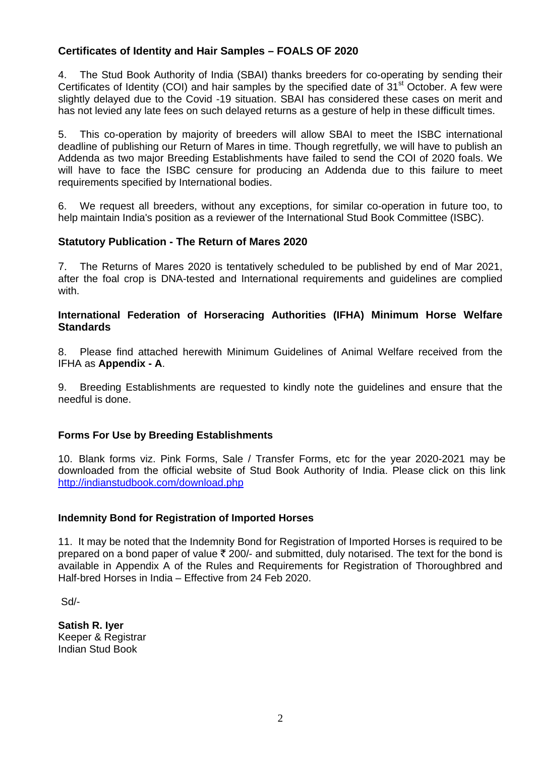#### **Certificates of Identity and Hair Samples – FOALS OF 2020**

4. The Stud Book Authority of India (SBAI) thanks breeders for co-operating by sending their Certificates of Identity (COI) and hair samples by the specified date of 31<sup>st</sup> October. A few were slightly delayed due to the Covid -19 situation. SBAI has considered these cases on merit and has not levied any late fees on such delayed returns as a gesture of help in these difficult times.

5. This co-operation by majority of breeders will allow SBAI to meet the ISBC international deadline of publishing our Return of Mares in time. Though regretfully, we will have to publish an Addenda as two major Breeding Establishments have failed to send the COI of 2020 foals. We will have to face the ISBC censure for producing an Addenda due to this failure to meet requirements specified by International bodies.

6. We request all breeders, without any exceptions, for similar co-operation in future too, to help maintain India's position as a reviewer of the International Stud Book Committee (ISBC).

#### **Statutory Publication - The Return of Mares 2020**

7. The Returns of Mares 2020 is tentatively scheduled to be published by end of Mar 2021, after the foal crop is DNA-tested and International requirements and guidelines are complied with.

#### **International Federation of Horseracing Authorities (IFHA) Minimum Horse Welfare Standards**

8. Please find attached herewith Minimum Guidelines of Animal Welfare received from the IFHA as **Appendix - A**.

9. Breeding Establishments are requested to kindly note the guidelines and ensure that the needful is done.

#### **Forms For Use by Breeding Establishments**

10. Blank forms viz. Pink Forms, Sale / Transfer Forms, etc for the year 2020-2021 may be downloaded from the official website of Stud Book Authority of India. Please click on this link <http://indianstudbook.com/download.php>

#### **Indemnity Bond for Registration of Imported Horses**

11. It may be noted that the Indemnity Bond for Registration of Imported Horses is required to be prepared on a bond paper of value  $\bar{\tau}$  200/- and submitted, duly notarised. The text for the bond is available in Appendix A of the Rules and Requirements for Registration of Thoroughbred and Half-bred Horses in India – Effective from 24 Feb 2020.

Sd/-

**Satish R. Iyer**  Keeper & Registrar Indian Stud Book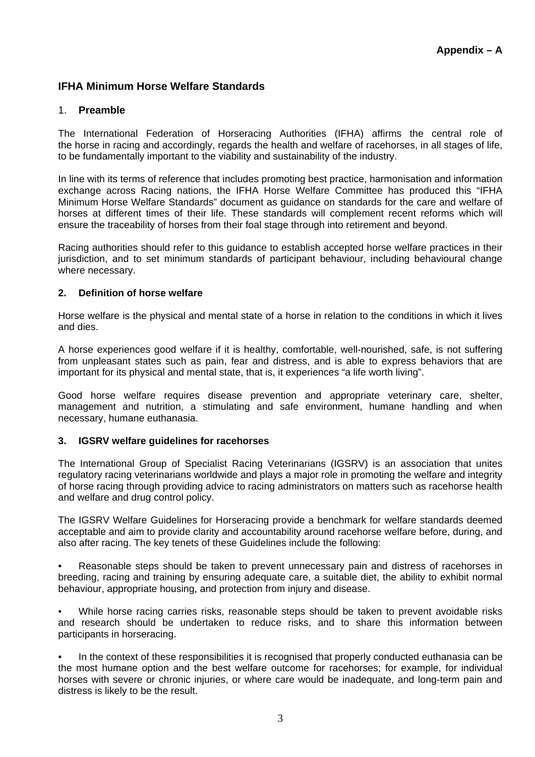#### **IFHA Minimum Horse Welfare Standards**

#### 1. **Preamble**

The International Federation of Horseracing Authorities (IFHA) affirms the central role of the horse in racing and accordingly, regards the health and welfare of racehorses, in all stages of life, to be fundamentally important to the viability and sustainability of the industry.

In line with its terms of reference that includes promoting best practice, harmonisation and information exchange across Racing nations, the IFHA Horse Welfare Committee has produced this "IFHA Minimum Horse Welfare Standards" document as guidance on standards for the care and welfare of horses at different times of their life. These standards will complement recent reforms which will ensure the traceability of horses from their foal stage through into retirement and beyond.

Racing authorities should refer to this guidance to establish accepted horse welfare practices in their jurisdiction, and to set minimum standards of participant behaviour, including behavioural change where necessary.

#### **2. Definition of horse welfare**

Horse welfare is the physical and mental state of a horse in relation to the conditions in which it lives and dies.

A horse experiences good welfare if it is healthy, comfortable, well-nourished, safe, is not suffering from unpleasant states such as pain, fear and distress, and is able to express behaviors that are important for its physical and mental state, that is, it experiences "a life worth living".

Good horse welfare requires disease prevention and appropriate veterinary care, shelter, management and nutrition, a stimulating and safe environment, humane handling and when necessary, humane euthanasia.

#### **3. IGSRV welfare guidelines for racehorses**

The International Group of Specialist Racing Veterinarians (IGSRV) is an association that unites regulatory racing veterinarians worldwide and plays a major role in promoting the welfare and integrity of horse racing through providing advice to racing administrators on matters such as racehorse health and welfare and drug control policy.

The IGSRV Welfare Guidelines for Horseracing provide a benchmark for welfare standards deemed acceptable and aim to provide clarity and accountability around racehorse welfare before, during, and also after racing. The key tenets of these Guidelines include the following:

• Reasonable steps should be taken to prevent unnecessary pain and distress of racehorses in breeding, racing and training by ensuring adequate care, a suitable diet, the ability to exhibit normal behaviour, appropriate housing, and protection from injury and disease.

• While horse racing carries risks, reasonable steps should be taken to prevent avoidable risks and research should be undertaken to reduce risks, and to share this information between participants in horseracing.

• In the context of these responsibilities it is recognised that properly conducted euthanasia can be the most humane option and the best welfare outcome for racehorses; for example, for individual horses with severe or chronic injuries, or where care would be inadequate, and long-term pain and distress is likely to be the result.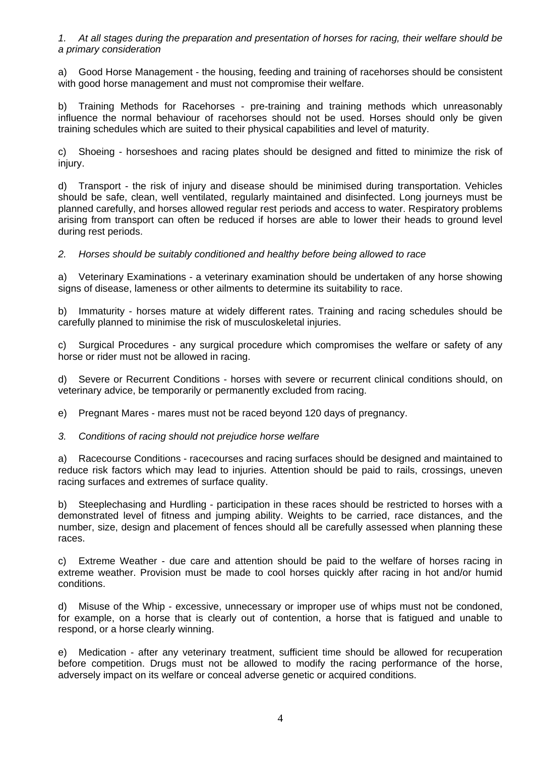*1. At all stages during the preparation and presentation of horses for racing, their welfare should be a primary consideration* 

a) Good Horse Management - the housing, feeding and training of racehorses should be consistent with good horse management and must not compromise their welfare.

b) Training Methods for Racehorses - pre-training and training methods which unreasonably influence the normal behaviour of racehorses should not be used. Horses should only be given training schedules which are suited to their physical capabilities and level of maturity.

c) Shoeing - horseshoes and racing plates should be designed and fitted to minimize the risk of injury.

d) Transport - the risk of injury and disease should be minimised during transportation. Vehicles should be safe, clean, well ventilated, regularly maintained and disinfected. Long journeys must be planned carefully, and horses allowed regular rest periods and access to water. Respiratory problems arising from transport can often be reduced if horses are able to lower their heads to ground level during rest periods.

*2. Horses should be suitably conditioned and healthy before being allowed to race* 

a) Veterinary Examinations - a veterinary examination should be undertaken of any horse showing signs of disease, lameness or other ailments to determine its suitability to race.

b) Immaturity - horses mature at widely different rates. Training and racing schedules should be carefully planned to minimise the risk of musculoskeletal injuries.

c) Surgical Procedures - any surgical procedure which compromises the welfare or safety of any horse or rider must not be allowed in racing.

d) Severe or Recurrent Conditions - horses with severe or recurrent clinical conditions should, on veterinary advice, be temporarily or permanently excluded from racing.

e) Pregnant Mares - mares must not be raced beyond 120 days of pregnancy.

#### *3. Conditions of racing should not prejudice horse welfare*

a) Racecourse Conditions - racecourses and racing surfaces should be designed and maintained to reduce risk factors which may lead to injuries. Attention should be paid to rails, crossings, uneven racing surfaces and extremes of surface quality.

b) Steeplechasing and Hurdling - participation in these races should be restricted to horses with a demonstrated level of fitness and jumping ability. Weights to be carried, race distances, and the number, size, design and placement of fences should all be carefully assessed when planning these races.

c) Extreme Weather - due care and attention should be paid to the welfare of horses racing in extreme weather. Provision must be made to cool horses quickly after racing in hot and/or humid conditions.

d) Misuse of the Whip - excessive, unnecessary or improper use of whips must not be condoned, for example, on a horse that is clearly out of contention, a horse that is fatigued and unable to respond, or a horse clearly winning.

e) Medication - after any veterinary treatment, sufficient time should be allowed for recuperation before competition. Drugs must not be allowed to modify the racing performance of the horse, adversely impact on its welfare or conceal adverse genetic or acquired conditions.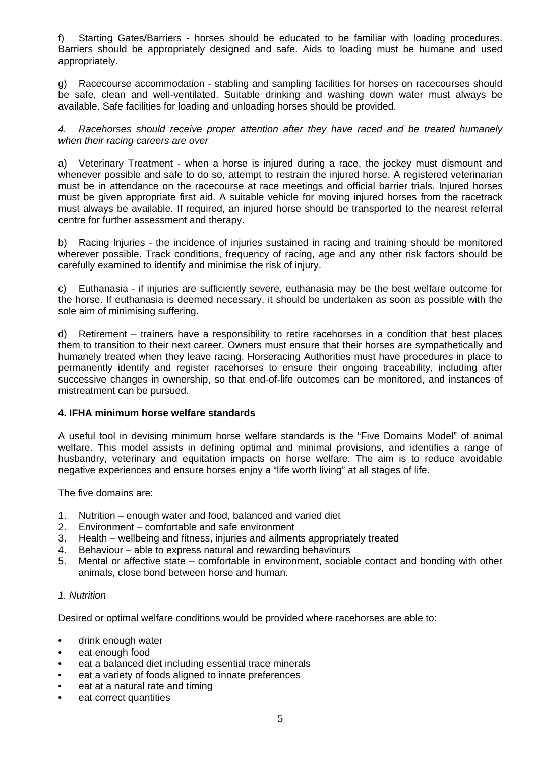f) Starting Gates/Barriers - horses should be educated to be familiar with loading procedures. Barriers should be appropriately designed and safe. Aids to loading must be humane and used appropriately.

g) Racecourse accommodation - stabling and sampling facilities for horses on racecourses should be safe, clean and well-ventilated. Suitable drinking and washing down water must always be available. Safe facilities for loading and unloading horses should be provided.

*4. Racehorses should receive proper attention after they have raced and be treated humanely when their racing careers are over* 

a) Veterinary Treatment - when a horse is injured during a race, the jockey must dismount and whenever possible and safe to do so, attempt to restrain the injured horse. A registered veterinarian must be in attendance on the racecourse at race meetings and official barrier trials. Injured horses must be given appropriate first aid. A suitable vehicle for moving injured horses from the racetrack must always be available. If required, an injured horse should be transported to the nearest referral centre for further assessment and therapy.

b) Racing Injuries - the incidence of injuries sustained in racing and training should be monitored wherever possible. Track conditions, frequency of racing, age and any other risk factors should be carefully examined to identify and minimise the risk of injury.

c) Euthanasia - if injuries are sufficiently severe, euthanasia may be the best welfare outcome for the horse. If euthanasia is deemed necessary, it should be undertaken as soon as possible with the sole aim of minimising suffering.

d) Retirement – trainers have a responsibility to retire racehorses in a condition that best places them to transition to their next career. Owners must ensure that their horses are sympathetically and humanely treated when they leave racing. Horseracing Authorities must have procedures in place to permanently identify and register racehorses to ensure their ongoing traceability, including after successive changes in ownership, so that end-of-life outcomes can be monitored, and instances of mistreatment can be pursued.

#### **4. IFHA minimum horse welfare standards**

A useful tool in devising minimum horse welfare standards is the "Five Domains Model" of animal welfare. This model assists in defining optimal and minimal provisions, and identifies a range of husbandry, veterinary and equitation impacts on horse welfare. The aim is to reduce avoidable negative experiences and ensure horses enjoy a "life worth living" at all stages of life.

The five domains are:

- 1. Nutrition enough water and food, balanced and varied diet
- 2. Environment comfortable and safe environment
- 3. Health wellbeing and fitness, injuries and ailments appropriately treated
- 4. Behaviour able to express natural and rewarding behaviours
- 5. Mental or affective state comfortable in environment, sociable contact and bonding with other animals, close bond between horse and human.

#### *1. Nutrition*

Desired or optimal welfare conditions would be provided where racehorses are able to:

- drink enough water
- eat enough food
- eat a balanced diet including essential trace minerals
- eat a variety of foods aligned to innate preferences
- eat at a natural rate and timing
- eat correct quantities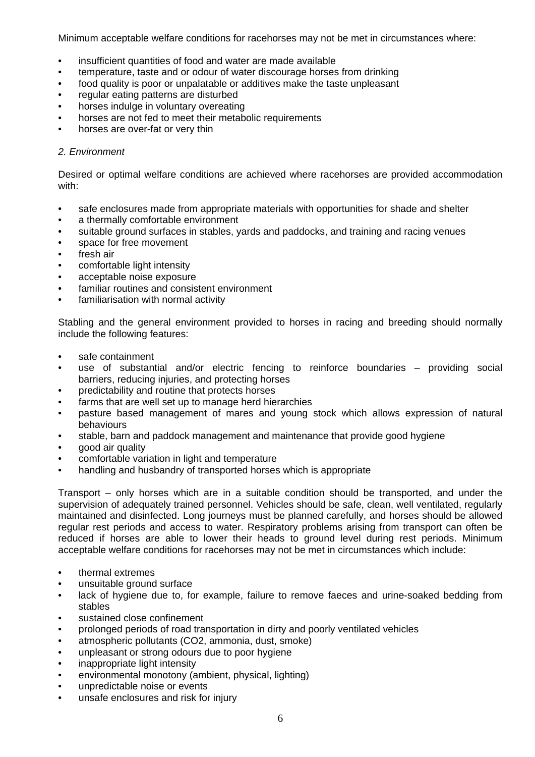Minimum acceptable welfare conditions for racehorses may not be met in circumstances where:

- insufficient quantities of food and water are made available
- temperature, taste and or odour of water discourage horses from drinking
- food quality is poor or unpalatable or additives make the taste unpleasant
- regular eating patterns are disturbed
- horses indulge in voluntary overeating
- horses are not fed to meet their metabolic requirements
- horses are over-fat or very thin

#### *2. Environment*

Desired or optimal welfare conditions are achieved where racehorses are provided accommodation with:

- safe enclosures made from appropriate materials with opportunities for shade and shelter
- a thermally comfortable environment
- suitable ground surfaces in stables, yards and paddocks, and training and racing venues
- space for free movement
- fresh air
- comfortable light intensity
- acceptable noise exposure
- familiar routines and consistent environment
- familiarisation with normal activity

Stabling and the general environment provided to horses in racing and breeding should normally include the following features:

- safe containment
- use of substantial and/or electric fencing to reinforce boundaries providing social barriers, reducing injuries, and protecting horses
- predictability and routine that protects horses
- farms that are well set up to manage herd hierarchies
- pasture based management of mares and young stock which allows expression of natural behaviours
- stable, barn and paddock management and maintenance that provide good hygiene
- good air quality
- comfortable variation in light and temperature
- handling and husbandry of transported horses which is appropriate

Transport – only horses which are in a suitable condition should be transported, and under the supervision of adequately trained personnel. Vehicles should be safe, clean, well ventilated, regularly maintained and disinfected. Long journeys must be planned carefully, and horses should be allowed regular rest periods and access to water. Respiratory problems arising from transport can often be reduced if horses are able to lower their heads to ground level during rest periods. Minimum acceptable welfare conditions for racehorses may not be met in circumstances which include:

- thermal extremes
- unsuitable ground surface
- lack of hygiene due to, for example, failure to remove faeces and urine-soaked bedding from stables
- sustained close confinement
- prolonged periods of road transportation in dirty and poorly ventilated vehicles
- atmospheric pollutants (CO2, ammonia, dust, smoke)
- unpleasant or strong odours due to poor hygiene
- inappropriate light intensity
- environmental monotony (ambient, physical, lighting)
- unpredictable noise or events
- unsafe enclosures and risk for injury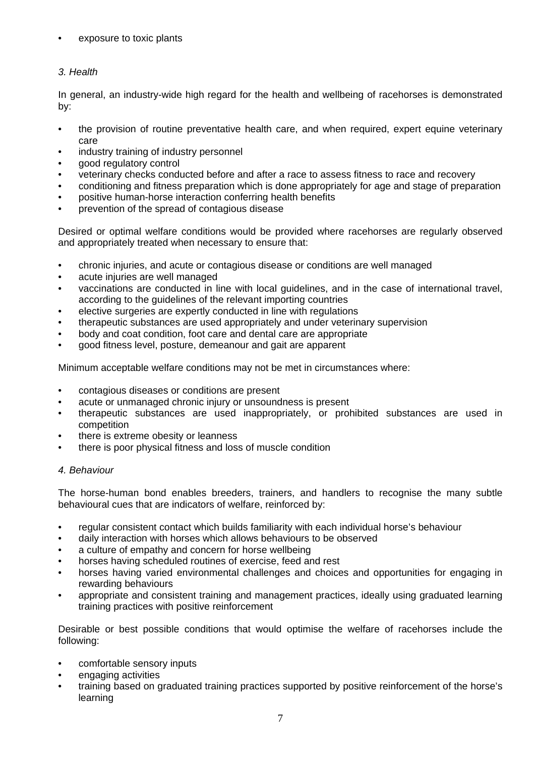#### exposure to toxic plants

#### *3. Health*

In general, an industry-wide high regard for the health and wellbeing of racehorses is demonstrated by:

- the provision of routine preventative health care, and when required, expert equine veterinary care
- industry training of industry personnel
- good regulatory control
- veterinary checks conducted before and after a race to assess fitness to race and recovery
- conditioning and fitness preparation which is done appropriately for age and stage of preparation
- positive human-horse interaction conferring health benefits
- prevention of the spread of contagious disease

Desired or optimal welfare conditions would be provided where racehorses are regularly observed and appropriately treated when necessary to ensure that:

- chronic injuries, and acute or contagious disease or conditions are well managed
- acute injuries are well managed
- vaccinations are conducted in line with local guidelines, and in the case of international travel, according to the guidelines of the relevant importing countries
- elective surgeries are expertly conducted in line with regulations
- therapeutic substances are used appropriately and under veterinary supervision
- body and coat condition, foot care and dental care are appropriate
- good fitness level, posture, demeanour and gait are apparent

Minimum acceptable welfare conditions may not be met in circumstances where:

- contagious diseases or conditions are present
- acute or unmanaged chronic injury or unsoundness is present
- therapeutic substances are used inappropriately, or prohibited substances are used in competition
- there is extreme obesity or leanness
- there is poor physical fitness and loss of muscle condition

#### *4. Behaviour*

The horse-human bond enables breeders, trainers, and handlers to recognise the many subtle behavioural cues that are indicators of welfare, reinforced by:

- regular consistent contact which builds familiarity with each individual horse's behaviour
- daily interaction with horses which allows behaviours to be observed
- a culture of empathy and concern for horse wellbeing
- horses having scheduled routines of exercise, feed and rest
- horses having varied environmental challenges and choices and opportunities for engaging in rewarding behaviours
- appropriate and consistent training and management practices, ideally using graduated learning training practices with positive reinforcement

Desirable or best possible conditions that would optimise the welfare of racehorses include the following:

- comfortable sensory inputs
- engaging activities
- training based on graduated training practices supported by positive reinforcement of the horse's learning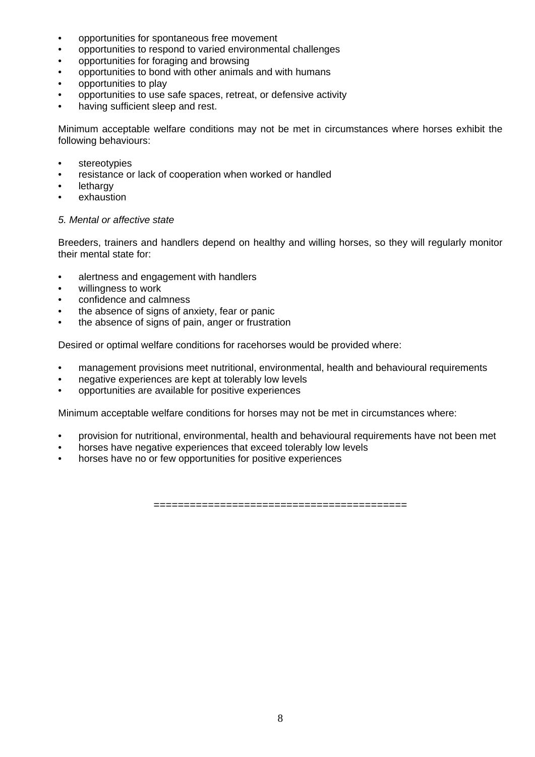- opportunities for spontaneous free movement
- opportunities to respond to varied environmental challenges
- opportunities for foraging and browsing
- opportunities to bond with other animals and with humans
- opportunities to play
- opportunities to use safe spaces, retreat, or defensive activity
- having sufficient sleep and rest.

Minimum acceptable welfare conditions may not be met in circumstances where horses exhibit the following behaviours:

- stereotypies
- resistance or lack of cooperation when worked or handled
- **lethargy**
- exhaustion

#### *5. Mental or affective state*

Breeders, trainers and handlers depend on healthy and willing horses, so they will regularly monitor their mental state for:

- alertness and engagement with handlers
- willingness to work
- confidence and calmness
- the absence of signs of anxiety, fear or panic
- the absence of signs of pain, anger or frustration

Desired or optimal welfare conditions for racehorses would be provided where:

- management provisions meet nutritional, environmental, health and behavioural requirements
- negative experiences are kept at tolerably low levels
- opportunities are available for positive experiences

Minimum acceptable welfare conditions for horses may not be met in circumstances where:

- provision for nutritional, environmental, health and behavioural requirements have not been met
- horses have negative experiences that exceed tolerably low levels
- horses have no or few opportunities for positive experiences

==========================================